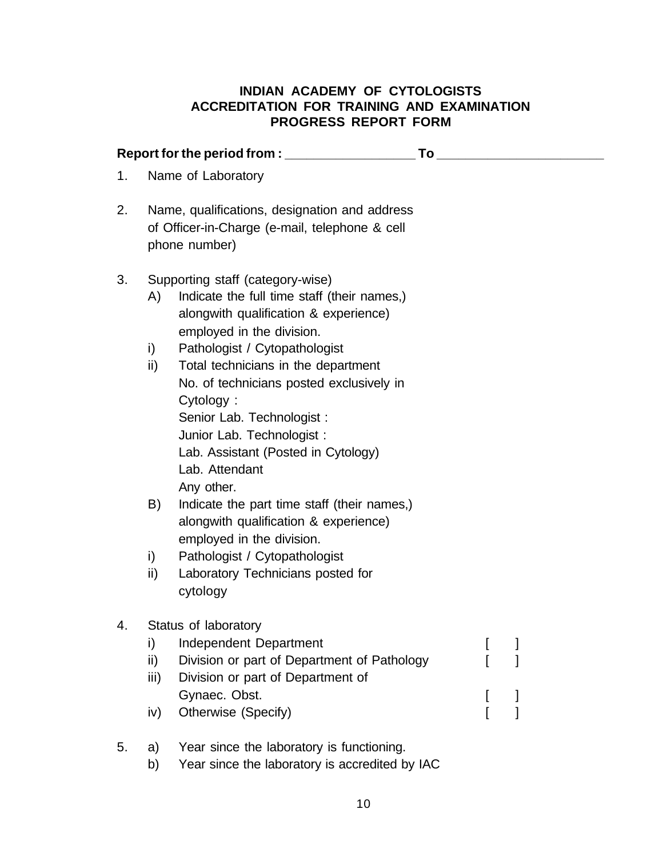## **INDIAN ACADEMY OF CYTOLOGISTS ACCREDITATION FOR TRAINING AND EXAMINATION PROGRESS REPORT FORM**

| Report for the period from : ___________________<br><b>To</b> the contract of the contract of the contract of the contract of the contract of the contract of the contract of the contract of the contract of the contract of the contract of the contract of the contract of the contr |                                                                                                                  |                                                                                                                                                                                                                                                                                                                                                                                                                                                                                                                                                                                                                                  |  |  |
|-----------------------------------------------------------------------------------------------------------------------------------------------------------------------------------------------------------------------------------------------------------------------------------------|------------------------------------------------------------------------------------------------------------------|----------------------------------------------------------------------------------------------------------------------------------------------------------------------------------------------------------------------------------------------------------------------------------------------------------------------------------------------------------------------------------------------------------------------------------------------------------------------------------------------------------------------------------------------------------------------------------------------------------------------------------|--|--|
| 1.                                                                                                                                                                                                                                                                                      | Name of Laboratory                                                                                               |                                                                                                                                                                                                                                                                                                                                                                                                                                                                                                                                                                                                                                  |  |  |
| 2.                                                                                                                                                                                                                                                                                      | Name, qualifications, designation and address<br>of Officer-in-Charge (e-mail, telephone & cell<br>phone number) |                                                                                                                                                                                                                                                                                                                                                                                                                                                                                                                                                                                                                                  |  |  |
| 3.                                                                                                                                                                                                                                                                                      | A)<br>i)<br>ii)<br>B)<br>i)<br>ii)                                                                               | Supporting staff (category-wise)<br>Indicate the full time staff (their names,)<br>alongwith qualification & experience)<br>employed in the division.<br>Pathologist / Cytopathologist<br>Total technicians in the department<br>No. of technicians posted exclusively in<br>Cytology:<br>Senior Lab. Technologist :<br>Junior Lab. Technologist :<br>Lab. Assistant (Posted in Cytology)<br>Lab. Attendant<br>Any other.<br>Indicate the part time staff (their names,)<br>alongwith qualification & experience)<br>employed in the division.<br>Pathologist / Cytopathologist<br>Laboratory Technicians posted for<br>cytology |  |  |
| 4.                                                                                                                                                                                                                                                                                      | i)<br>ii)<br>iii)<br>iv)                                                                                         | Status of laboratory<br><b>Independent Department</b><br>Division or part of Department of Pathology<br>Division or part of Department of<br>Gynaec. Obst.<br>Otherwise (Specify)                                                                                                                                                                                                                                                                                                                                                                                                                                                |  |  |
| 5.                                                                                                                                                                                                                                                                                      | a)                                                                                                               | Year since the laboratory is functioning.                                                                                                                                                                                                                                                                                                                                                                                                                                                                                                                                                                                        |  |  |

b) Year since the laboratory is accredited by IAC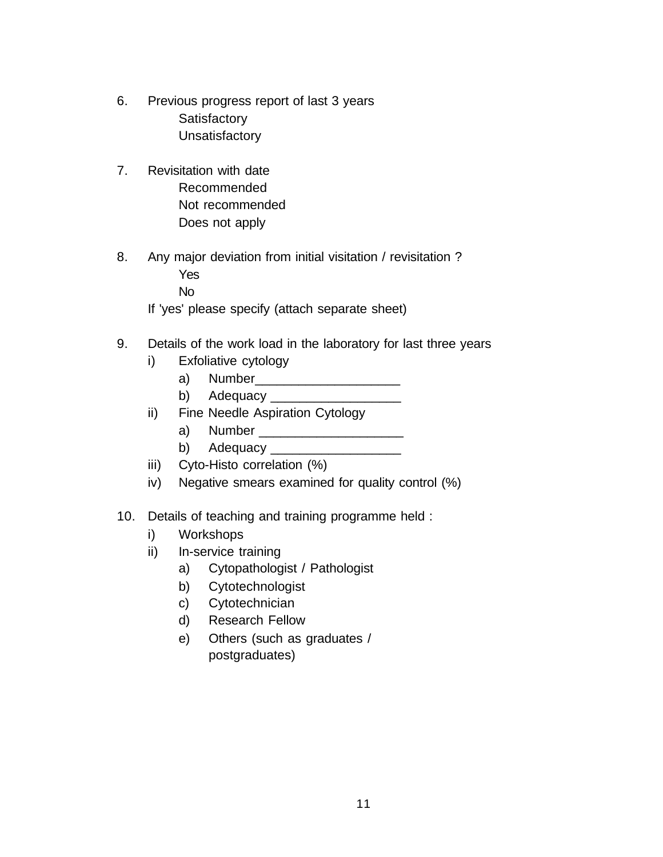- 6. Previous progress report of last 3 years **Satisfactory Unsatisfactory**
- 7. Revisitation with date Recommended Not recommended Does not apply
- 8. Any major deviation from initial visitation / revisitation ? Yes

No

If 'yes' please specify (attach separate sheet)

- 9. Details of the work load in the laboratory for last three years
	- i) Exfoliative cytology
		- a) Number\_\_\_\_\_\_\_\_\_\_\_\_\_\_\_\_\_\_\_\_
		- b) Adequacy \_\_\_\_\_\_\_\_\_\_\_\_\_\_\_\_\_\_
	- ii) Fine Needle Aspiration Cytology
		- a) Number \_\_\_\_\_\_\_\_\_\_\_\_\_\_\_\_\_\_\_\_
		- b) Adequacy \_\_\_\_\_\_\_\_\_\_\_\_\_\_\_\_\_\_\_\_\_
	- iii) Cyto-Histo correlation (%)
	- iv) Negative smears examined for quality control (%)
- 10. Details of teaching and training programme held :
	- i) Workshops
	- ii) In-service training
		- a) Cytopathologist / Pathologist
		- b) Cytotechnologist
		- c) Cytotechnician
		- d) Research Fellow
		- e) Others (such as graduates / postgraduates)